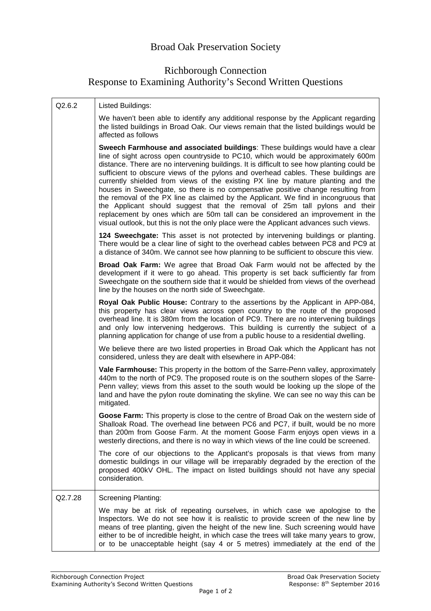## Richborough Connection Response to Examining Authority's Second Written Questions

| Q2.6.2  | Listed Buildings:                                                                                                                                                                                                                                                                                                                                                                                                                                                                                                                                                                                                                                                                                                                                                                                                                                                              |
|---------|--------------------------------------------------------------------------------------------------------------------------------------------------------------------------------------------------------------------------------------------------------------------------------------------------------------------------------------------------------------------------------------------------------------------------------------------------------------------------------------------------------------------------------------------------------------------------------------------------------------------------------------------------------------------------------------------------------------------------------------------------------------------------------------------------------------------------------------------------------------------------------|
|         | We haven't been able to identify any additional response by the Applicant regarding<br>the listed buildings in Broad Oak. Our views remain that the listed buildings would be<br>affected as follows                                                                                                                                                                                                                                                                                                                                                                                                                                                                                                                                                                                                                                                                           |
|         | Sweech Farmhouse and associated buildings: These buildings would have a clear<br>line of sight across open countryside to PC10, which would be approximately 600m<br>distance. There are no intervening buildings. It is difficult to see how planting could be<br>sufficient to obscure views of the pylons and overhead cables. These buildings are<br>currently shielded from views of the existing PX line by mature planting and the<br>houses in Sweechgate, so there is no compensative positive change resulting from<br>the removal of the PX line as claimed by the Applicant. We find in incongruous that<br>the Applicant should suggest that the removal of 25m tall pylons and their<br>replacement by ones which are 50m tall can be considered an improvement in the<br>visual outlook, but this is not the only place were the Applicant advances such views. |
|         | 124 Sweechgate: This asset is not protected by intervening buildings or planting.<br>There would be a clear line of sight to the overhead cables between PC8 and PC9 at<br>a distance of 340m. We cannot see how planning to be sufficient to obscure this view.                                                                                                                                                                                                                                                                                                                                                                                                                                                                                                                                                                                                               |
|         | Broad Oak Farm: We agree that Broad Oak Farm would not be affected by the<br>development if it were to go ahead. This property is set back sufficiently far from<br>Sweechgate on the southern side that it would be shielded from views of the overhead<br>line by the houses on the north side of Sweechgate.                                                                                                                                                                                                                                                                                                                                                                                                                                                                                                                                                                |
|         | Royal Oak Public House: Contrary to the assertions by the Applicant in APP-084,<br>this property has clear views across open country to the route of the proposed<br>overhead line. It is 380m from the location of PC9. There are no intervening buildings<br>and only low intervening hedgerows. This building is currently the subject of a<br>planning application for change of use from a public house to a residential dwelling.                                                                                                                                                                                                                                                                                                                                                                                                                                        |
|         | We believe there are two listed properties in Broad Oak which the Applicant has not<br>considered, unless they are dealt with elsewhere in APP-084:                                                                                                                                                                                                                                                                                                                                                                                                                                                                                                                                                                                                                                                                                                                            |
|         | Vale Farmhouse: This property in the bottom of the Sarre-Penn valley, approximately<br>440m to the north of PC9. The proposed route is on the southern slopes of the Sarre-<br>Penn valley; views from this asset to the south would be looking up the slope of the<br>land and have the pylon route dominating the skyline. We can see no way this can be<br>mitigated.                                                                                                                                                                                                                                                                                                                                                                                                                                                                                                       |
|         | Goose Farm: This property is close to the centre of Broad Oak on the western side of<br>Shalloak Road. The overhead line between PC6 and PC7, if built, would be no more<br>than 200m from Goose Farm. At the moment Goose Farm enjoys open views in a<br>westerly directions, and there is no way in which views of the line could be screened.                                                                                                                                                                                                                                                                                                                                                                                                                                                                                                                               |
|         | The core of our objections to the Applicant's proposals is that views from many<br>domestic buildings in our village will be irreparably degraded by the erection of the<br>proposed 400kV OHL. The impact on listed buildings should not have any special<br>consideration.                                                                                                                                                                                                                                                                                                                                                                                                                                                                                                                                                                                                   |
| Q2.7.28 | <b>Screening Planting:</b>                                                                                                                                                                                                                                                                                                                                                                                                                                                                                                                                                                                                                                                                                                                                                                                                                                                     |
|         | We may be at risk of repeating ourselves, in which case we apologise to the<br>Inspectors. We do not see how it is realistic to provide screen of the new line by<br>means of tree planting, given the height of the new line. Such screening would have<br>either to be of incredible height, in which case the trees will take many years to grow,<br>or to be unacceptable height (say 4 or 5 metres) immediately at the end of the                                                                                                                                                                                                                                                                                                                                                                                                                                         |